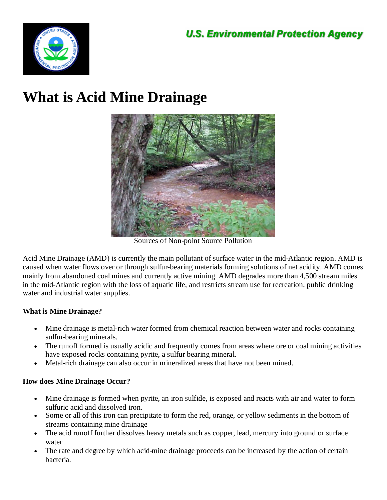

# **What is Acid Mine Drainage**



Sources of Non-point Source Pollution

Acid Mine Drainage (AMD) is currently the main pollutant of surface water in the mid-Atlantic region. AMD is caused when water flows over or through sulfur-bearing materials forming solutions of net acidity. AMD comes mainly from abandoned coal mines and currently active mining. AMD degrades more than 4,500 stream miles in the mid-Atlantic region with the loss of aquatic life, and restricts stream use for recreation, public drinking water and industrial water supplies.

# **What is Mine Drainage?**

- Mine drainage is metal-rich water formed from chemical reaction between water and rocks containing sulfur-bearing minerals.
- The runoff formed is usually acidic and frequently comes from areas where ore or coal mining activities have exposed rocks containing pyrite, a sulfur bearing mineral.
- Metal-rich drainage can also occur in mineralized areas that have not been mined.

# **How does Mine Drainage Occur?**

- Mine drainage is formed when pyrite, an iron sulfide, is exposed and reacts with air and water to form sulfuric acid and dissolved iron.
- Some or all of this iron can precipitate to form the red, orange, or yellow sediments in the bottom of streams containing mine drainage
- The acid runoff further dissolves heavy metals such as copper, lead, mercury into ground or surface water
- The rate and degree by which acid-mine drainage proceeds can be increased by the action of certain bacteria.